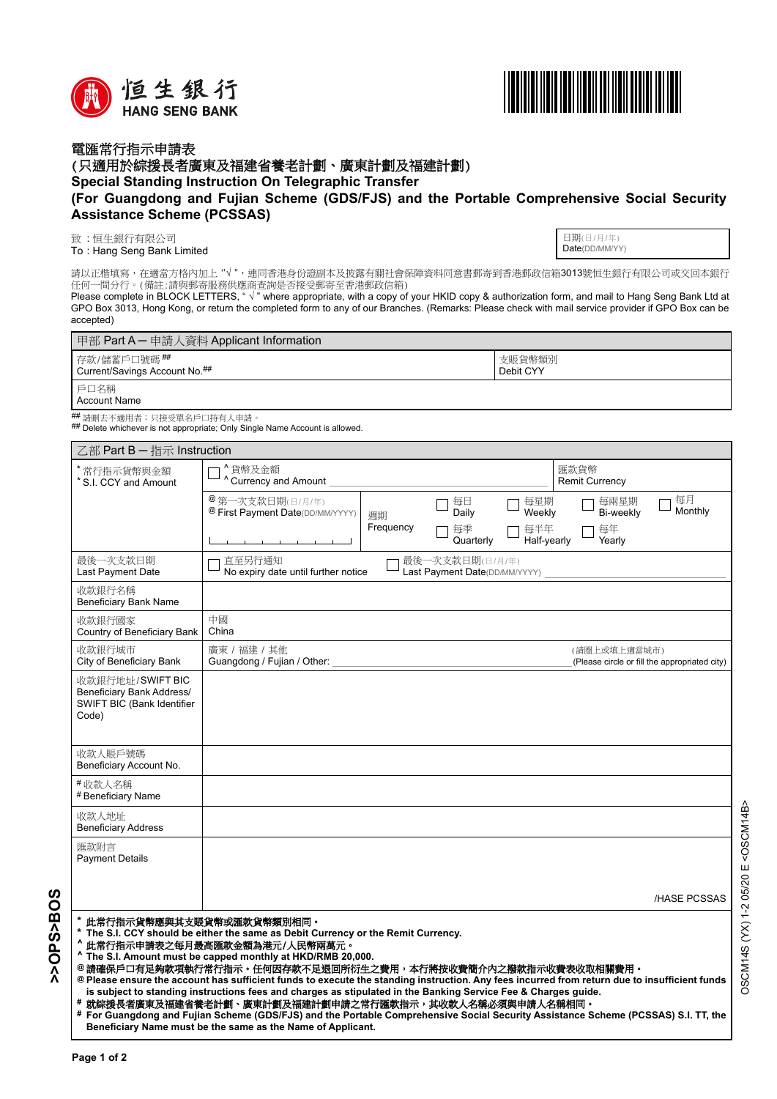



## 電匯常行指示申請表

(只適用於綜援長者廣東及福建省養老計劃、廣東計劃及福建計劃)

**Special Standing Instruction On Telegraphic Transfer** 

## **(For Guangdong and Fujian Scheme (GDS/FJS) and the Portable Comprehensive Social Security Assistance Scheme (PCSSAS)**

致:恒生銀行有限公司

: Hang Seng Bank Limited To

日期(日/月/年) Date(DD/MM/YY)

請以正楷填寫,在適當方格內加上"√",連同香港身份證副本及披露有關社會保障資料同意書郵寄到香港郵政信箱3013號恒生銀行有限公司或交回本銀行 任何一間分行。(備註:請與郵寄服務供應商查詢是否接受郵寄至香港郵政信箱)

Please complete in BLOCK LETTERS, " √ " where appropriate, with a copy of your HKID copy & authorization form, and mail to Hang Seng Bank Ltd at GPO Box 3013, Hong Kong, or return the completed form to any of our Branches. (Remarks: Please check with mail service provider if GPO Box can be accepted)

| 甲部 Part A – 申請人資料 Applicant Information        |                     |  |  |  |
|------------------------------------------------|---------------------|--|--|--|
| ┃存款/儲蓄戶口號碼 ##<br>Current/Savings Account No.## | 支賬貨幣類別<br>Debit CYY |  |  |  |
| 戶口名稱<br>Account Name                           |                     |  |  |  |

<sup>##</sup> 請刪去不適用者;只接受單名戶口持有人申請。<br><sup>##</sup> Delete whichever is not appropriate; Only Single Name Account is allowed.

| 乙部 Part B - 指示 Instruction                                                                                                                                                                                                                                                                                                                                                                                                                                                                                                                                                                          |                                                                            |           |                                                  |                    |                               |                                               |  |
|-----------------------------------------------------------------------------------------------------------------------------------------------------------------------------------------------------------------------------------------------------------------------------------------------------------------------------------------------------------------------------------------------------------------------------------------------------------------------------------------------------------------------------------------------------------------------------------------------------|----------------------------------------------------------------------------|-----------|--------------------------------------------------|--------------------|-------------------------------|-----------------------------------------------|--|
| 常行指示貨幣與金額<br>* S.I. CCY and Amount                                                                                                                                                                                                                                                                                                                                                                                                                                                                                                                                                                  | ^貨幣及金額<br>Currency and Amount                                              |           |                                                  |                    | 匯款貨幣<br><b>Remit Currency</b> |                                               |  |
|                                                                                                                                                                                                                                                                                                                                                                                                                                                                                                                                                                                                     | <sup>@</sup> 第一次支款日期(日/月/年)<br><sup>@</sup> First Payment Date(DD/MM/YYYY) | 调期        | 每日<br>Daily                                      | 每星期<br>Weekly      | 每兩星期<br>Bi-weekly             | 每月<br>Monthly                                 |  |
|                                                                                                                                                                                                                                                                                                                                                                                                                                                                                                                                                                                                     |                                                                            | Frequency | 每季<br>Quarterly                                  | 每半年<br>Half-yearly | 每年<br>Yearly                  |                                               |  |
| 最後一次支款日期<br>Last Payment Date                                                                                                                                                                                                                                                                                                                                                                                                                                                                                                                                                                       | 直至另行通知<br>No expiry date until further notice                              |           | 最後一次支款日期(日/月/年)<br>Last Payment Date(DD/MM/YYYY) |                    |                               |                                               |  |
| 收款銀行名稱<br><b>Beneficiary Bank Name</b>                                                                                                                                                                                                                                                                                                                                                                                                                                                                                                                                                              |                                                                            |           |                                                  |                    |                               |                                               |  |
| 收款銀行國家<br>Country of Beneficiary Bank                                                                                                                                                                                                                                                                                                                                                                                                                                                                                                                                                               | 中國<br>China                                                                |           |                                                  |                    |                               |                                               |  |
| 收款銀行城市<br>City of Beneficiary Bank                                                                                                                                                                                                                                                                                                                                                                                                                                                                                                                                                                  | 廣東 / 福建 / 其他<br>Guangdong / Fujian / Other:                                |           |                                                  |                    | (請圈上或填上適當城市)                  | (Please circle or fill the appropriated city) |  |
| 收款銀行地址/SWIFT BIC<br>Beneficiary Bank Address/<br>SWIFT BIC (Bank Identifier<br>Code)                                                                                                                                                                                                                                                                                                                                                                                                                                                                                                                |                                                                            |           |                                                  |                    |                               |                                               |  |
| 收款人賬戶號碼<br>Beneficiary Account No.                                                                                                                                                                                                                                                                                                                                                                                                                                                                                                                                                                  |                                                                            |           |                                                  |                    |                               |                                               |  |
| #收款人名稱<br># Beneficiary Name                                                                                                                                                                                                                                                                                                                                                                                                                                                                                                                                                                        |                                                                            |           |                                                  |                    |                               |                                               |  |
| 收款人地址<br><b>Beneficiary Address</b>                                                                                                                                                                                                                                                                                                                                                                                                                                                                                                                                                                 |                                                                            |           |                                                  |                    |                               |                                               |  |
| 匯款附言<br><b>Payment Details</b>                                                                                                                                                                                                                                                                                                                                                                                                                                                                                                                                                                      |                                                                            |           |                                                  |                    |                               |                                               |  |
|                                                                                                                                                                                                                                                                                                                                                                                                                                                                                                                                                                                                     |                                                                            |           |                                                  |                    |                               | <b>HASE PCSSAS</b>                            |  |
| 此常行指示貨幣應與其支賬貨幣或匯款貨幣類別相同。<br>The S.I. CCY should be either the same as Debit Currency or the Remit Currency.<br>此常行指示申請表之每月最高匯款金額為港元/人民幣兩萬元。<br>^ The S.I. Amount must be capped monthly at HKD/RMB 20,000.<br>@請確保戶口有足夠款項執行常行指示。任何因存款不足退回所衍生之費用,本行將按收費簡介內之撥款指示收費表收取相關費用。<br>@ Please ensure the account has sufficient funds to execute the standing instruction. Any fees incurred from return due to insufficient funds<br>is subject to standing instructions fees and charges as stipulated in the Banking Service Fee & Charges guide.<br>就綜援長者廣東及福建省養老計劃、廣東計劃及福建計劃申請之常行匯款指示,其收款人名稱必須與申請人名稱相同。 |                                                                            |           |                                                  |                    |                               |                                               |  |

**For Guangdong and Fujian Scheme (GDS/FJS) and the Portable Comprehensive Social Security Assistance Scheme (PCSSAS) S.I. TT, the # Beneficiary Name must be the same as the Name of Applicant.**

**>>OPS>BOS**

**SOBS>BOS**